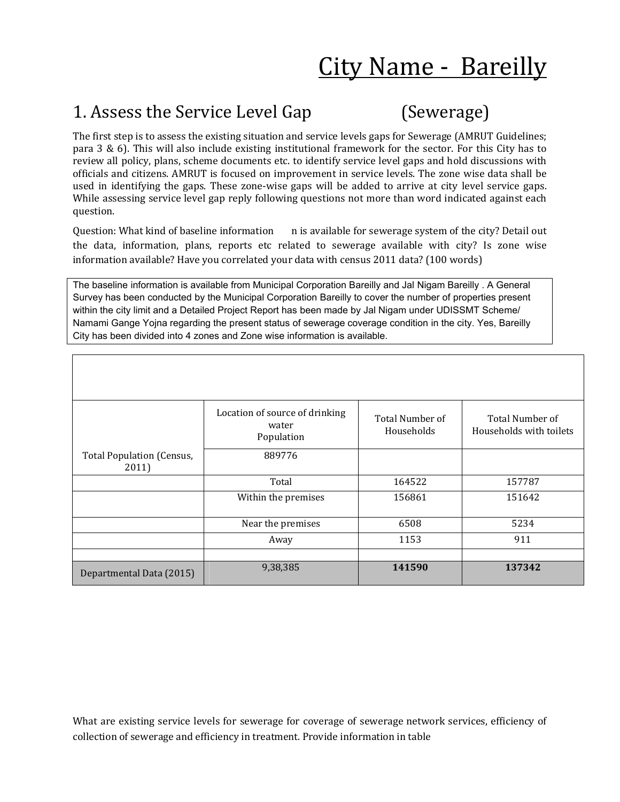# City Name - Bareilly

### 1. Assess the Service Level Gap (Sewerage)

The first step is to assess the existing situation and service levels gaps for Sewerage (AMRUT Guidelines; para 3 & 6). This will also include existing institutional framework for the sector. For this City has to review all policy, plans, scheme documents etc. to identify service level gaps and hold discussions with officials and citizens. AMRUT is focused on improvement in service levels. The zone wise data shall be used in identifying the gaps. These zone-wise gaps will be added to arrive at city level service gaps. While assessing service level gap reply following questions not more than word indicated against each question.

Question: What kind of baseline information n is available for sewerage system of the city? Detail out the data, information, plans, reports etc related to sewerage available with city? Is zone wise information available? Have you correlated your data with census 2011 data? (100 words)

The baseline information is available from Municipal Corporation Bareilly and Jal Nigam Bareilly . A General Survey has been conducted by the Municipal Corporation Bareilly to cover the number of properties present within the city limit and a Detailed Project Report has been made by Jal Nigam under UDISSMT Scheme/ Namami Gange Yojna regarding the present status of sewerage coverage condition in the city. Yes, Bareilly City has been divided into 4 zones and Zone wise information is available.

|                                           | Location of source of drinking<br>water<br>Population | Total Number of<br>Households | Total Number of<br>Households with toilets |
|-------------------------------------------|-------------------------------------------------------|-------------------------------|--------------------------------------------|
| <b>Total Population (Census,</b><br>2011) | 889776                                                |                               |                                            |
|                                           | Total                                                 | 164522                        | 157787                                     |
|                                           | Within the premises                                   | 156861                        | 151642                                     |
|                                           | Near the premises                                     | 6508                          | 5234                                       |
|                                           | Away                                                  | 1153                          | 911                                        |
|                                           |                                                       |                               |                                            |
| Departmental Data (2015)                  | 9,38,385                                              | 141590                        | 137342                                     |

What are existing service levels for sewerage for coverage of sewerage network services, efficiency of collection of sewerage and efficiency in treatment. Provide information in table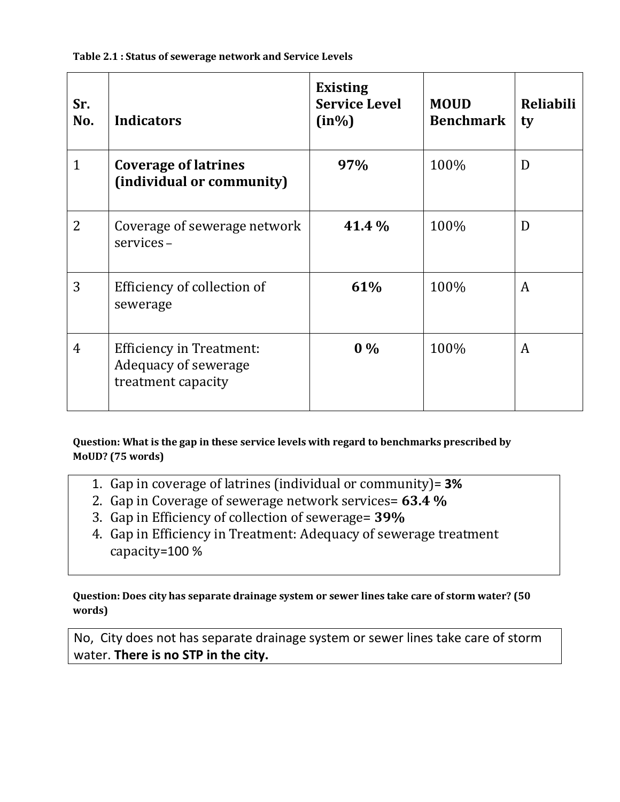**Table 2.1 : Status of sewerage network and Service Levels**

| Sr.<br>No.   | <b>Indicators</b>                                                             | <b>Existing</b><br><b>Service Level</b><br>$(in\%)$ | <b>MOUD</b><br><b>Benchmark</b> | <b>Reliabili</b><br>ty |
|--------------|-------------------------------------------------------------------------------|-----------------------------------------------------|---------------------------------|------------------------|
| $\mathbf{1}$ | <b>Coverage of latrines</b><br>(individual or community)                      | 97%                                                 | 100%                            | D                      |
| 2            | Coverage of sewerage network<br>services-                                     | 41.4 %                                              | 100%                            | D                      |
| 3            | Efficiency of collection of<br>sewerage                                       | 61%                                                 | 100%                            | A                      |
| 4            | <b>Efficiency in Treatment:</b><br>Adequacy of sewerage<br>treatment capacity | $0\%$                                               | 100%                            | A                      |

**Question: What is the gap in these service levels with regard to benchmarks prescribed by MoUD? (75 words)**

- 1. Gap in coverage of latrines (individual or community)= **3%**
- 2. Gap in Coverage of sewerage network services= **63.4 %**
- 3. Gap in Efficiency of collection of sewerage= **39%**
- 4. Gap in Efficiency in Treatment: Adequacy of sewerage treatment capacity=100 %

**Question: Does city has separate drainage system or sewer lines take care of storm water? (50 words)**

No, City does not has separate drainage system or sewer lines take care of storm water. **There is no STP in the city.**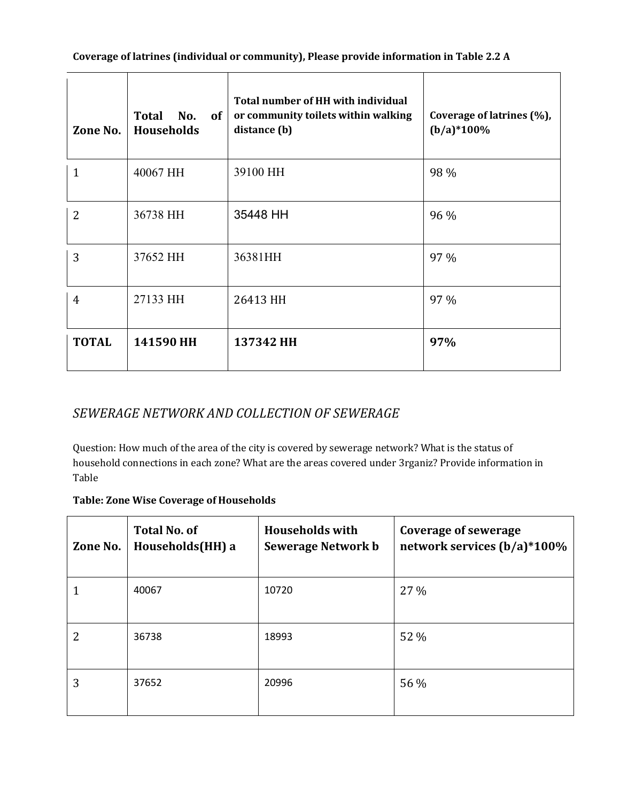| Zone No.       | Total No.<br><b>of</b><br>Households | Total number of HH with individual<br>or community toilets within walking<br>distance (b) | Coverage of latrines (%),<br>$(b/a)*100\%$ |
|----------------|--------------------------------------|-------------------------------------------------------------------------------------------|--------------------------------------------|
| 1              | 40067 HH                             | 39100 HH                                                                                  | 98 %                                       |
| $\overline{2}$ | 36738 HH                             | 35448 HH                                                                                  | 96 %                                       |
| 3              | 37652 HH                             | 36381HH                                                                                   | 97 %                                       |
| 4              | 27133 HH                             | 26413 HH                                                                                  | 97 %                                       |
| <b>TOTAL</b>   | 141590 HH                            | 137342 HH                                                                                 | 97%                                        |

#### *SEWERAGE NETWORK AND COLLECTION OF SEWERAGE*

Question: How much of the area of the city is covered by sewerage network? What is the status of household connections in each zone? What are the areas covered under 3rganiz? Provide information in Table

#### **Table: Zone Wise Coverage of Households**

| Zone No. | <b>Total No. of</b><br>Households(HH) a | <b>Households with</b><br>Sewerage Network b | <b>Coverage of sewerage</b><br>network services (b/a)*100% |
|----------|-----------------------------------------|----------------------------------------------|------------------------------------------------------------|
|          | 40067                                   | 10720                                        | $27\%$                                                     |
| 2        | 36738                                   | 18993                                        | 52 %                                                       |
| 3        | 37652                                   | 20996                                        | 56 %                                                       |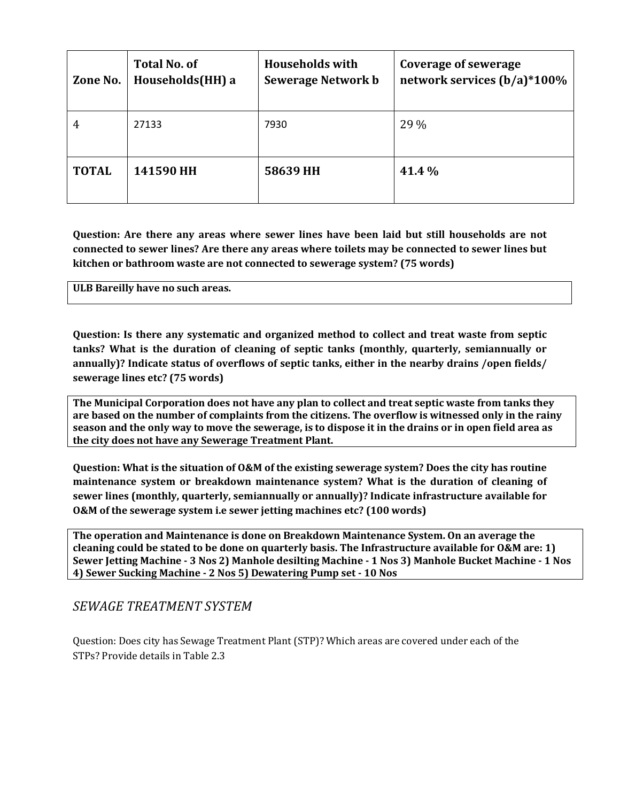| Zone No.     | <b>Total No. of</b><br>Households(HH) a | <b>Households with</b><br><b>Sewerage Network b</b> | Coverage of sewerage<br>network services (b/a)*100% |
|--------------|-----------------------------------------|-----------------------------------------------------|-----------------------------------------------------|
|              | 27133                                   | 7930                                                | 29 %                                                |
| <b>TOTAL</b> | 141590 HH                               | 58639 HH                                            | 41.4 %                                              |

**Question: Are there any areas where sewer lines have been laid but still households are not connected to sewer lines? Are there any areas where toilets may be connected to sewer lines but kitchen or bathroom waste are not connected to sewerage system? (75 words)**

**ULB Bareilly have no such areas.**

**Question: Is there any systematic and organized method to collect and treat waste from septic tanks? What is the duration of cleaning of septic tanks (monthly, quarterly, semiannually or annually)? Indicate status of overflows of septic tanks, either in the nearby drains /open fields/ sewerage lines etc? (75 words)**

**The Municipal Corporation does not have any plan to collect and treat septic waste from tanks they are based on the number of complaints from the citizens. The overflow is witnessed only in the rainy season and the only way to move the sewerage, is to dispose it in the drains or in open field area as the city does not have any Sewerage Treatment Plant.**

**Question: What is the situation of O&M of the existing sewerage system? Does the city has routine maintenance system or breakdown maintenance system? What is the duration of cleaning of sewer lines (monthly, quarterly, semiannually or annually)? Indicate infrastructure available for O&M of the sewerage system i.e sewer jetting machines etc? (100 words)**

**The operation and Maintenance is done on Breakdown Maintenance System. On an average the cleaning could be stated to be done on quarterly basis. The Infrastructure available for O&M are: 1) Sewer Jetting Machine - 3 Nos 2) Manhole desilting Machine - 1 Nos 3) Manhole Bucket Machine - 1 Nos 4) Sewer Sucking Machine - 2 Nos 5) Dewatering Pump set - 10 Nos**

#### *SEWAGE TREATMENT SYSTEM*

Question: Does city has Sewage Treatment Plant (STP)? Which areas are covered under each of the STPs? Provide details in Table 2.3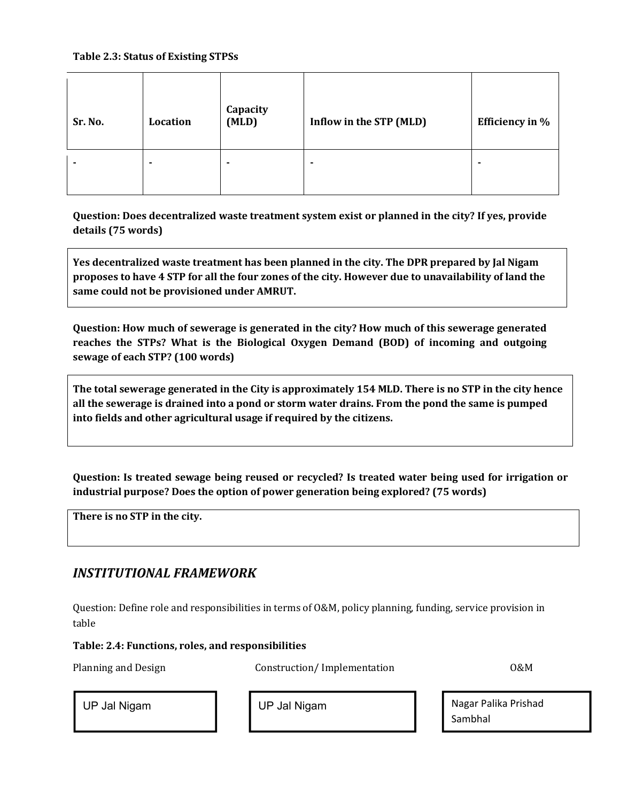#### **Table 2.3: Status of Existing STPSs**

| Sr. No. | Location | Capacity<br>(MLD) | Inflow in the STP (MLD) | <b>Efficiency in %</b> |
|---------|----------|-------------------|-------------------------|------------------------|
|         | ۰        | $\blacksquare$    | $\blacksquare$          | ۰                      |

**Question: Does decentralized waste treatment system exist or planned in the city? If yes, provide details (75 words)**

**Yes decentralized waste treatment has been planned in the city. The DPR prepared by Jal Nigam proposes to have 4 STP for all the four zones of the city. However due to unavailability of land the same could not be provisioned under AMRUT.**

**Question: How much of sewerage is generated in the city? How much of this sewerage generated reaches the STPs? What is the Biological Oxygen Demand (BOD) of incoming and outgoing sewage of each STP? (100 words)**

**The total sewerage generated in the City is approximately 154 MLD. There is no STP in the city hence all the sewerage is drained into a pond or storm water drains. From the pond the same is pumped into fields and other agricultural usage if required by the citizens.**

**Question: Is treated sewage being reused or recycled? Is treated water being used for irrigation or industrial purpose? Does the option of power generation being explored? (75 words)**

**There is no STP in the city.**

#### *INSTITUTIONAL FRAMEWORK*

Question: Define role and responsibilities in terms of O&M, policy planning, funding, service provision in table

#### **Table: 2.4: Functions, roles, and responsibilities**

Planning and Design Construction/ Implementation CO&M

UP Jal Nigam Nigam Nagar Palika Prishad Sambhal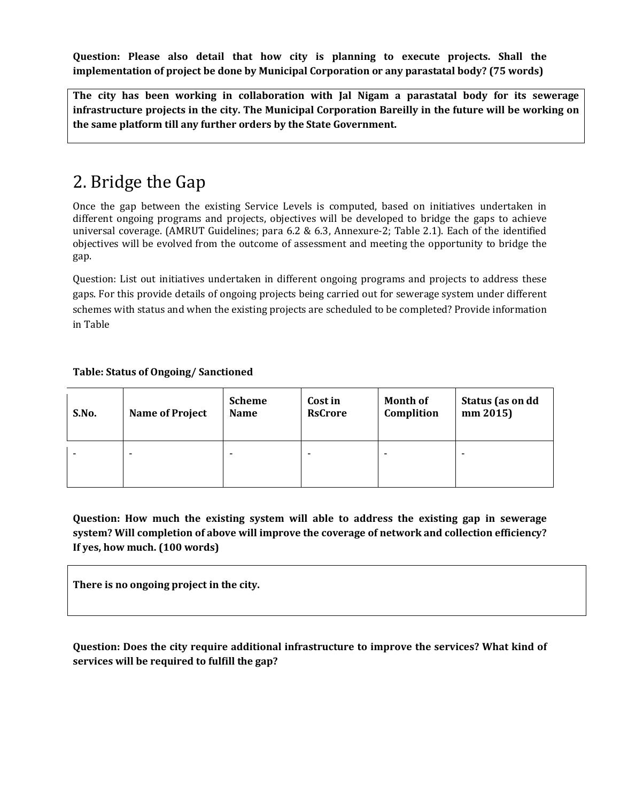**Question: Please also detail that how city is planning to execute projects. Shall the implementation of project be done by Municipal Corporation or any parastatal body? (75 words)**

**The city has been working in collaboration with Jal Nigam a parastatal body for its sewerage infrastructure projects in the city. The Municipal Corporation Bareilly in the future will be working on the same platform till any further orders by the State Government.**

### 2. Bridge the Gap

Once the gap between the existing Service Levels is computed, based on initiatives undertaken in different ongoing programs and projects, objectives will be developed to bridge the gaps to achieve universal coverage. (AMRUT Guidelines; para 6.2 & 6.3, Annexure-2; Table 2.1). Each of the identified objectives will be evolved from the outcome of assessment and meeting the opportunity to bridge the gap.

Question: List out initiatives undertaken in different ongoing programs and projects to address these gaps. For this provide details of ongoing projects being carried out for sewerage system under different schemes with status and when the existing projects are scheduled to be completed? Provide information in Table

#### **Table: Status of Ongoing/ Sanctioned**

| S.No. | <b>Name of Project</b> | <b>Scheme</b><br><b>Name</b> | Cost in<br><b>RsCrore</b> | <b>Month of</b><br>Complition | Status (as on dd<br>mm 2015) |
|-------|------------------------|------------------------------|---------------------------|-------------------------------|------------------------------|
|       | -                      | -                            | $\overline{\phantom{0}}$  | -                             | $\overline{\phantom{0}}$     |

**Question: How much the existing system will able to address the existing gap in sewerage system? Will completion of above will improve the coverage of network and collection efficiency? If yes, how much. (100 words)**

**There is no ongoing project in the city.** 

**Question: Does the city require additional infrastructure to improve the services? What kind of services will be required to fulfill the gap?**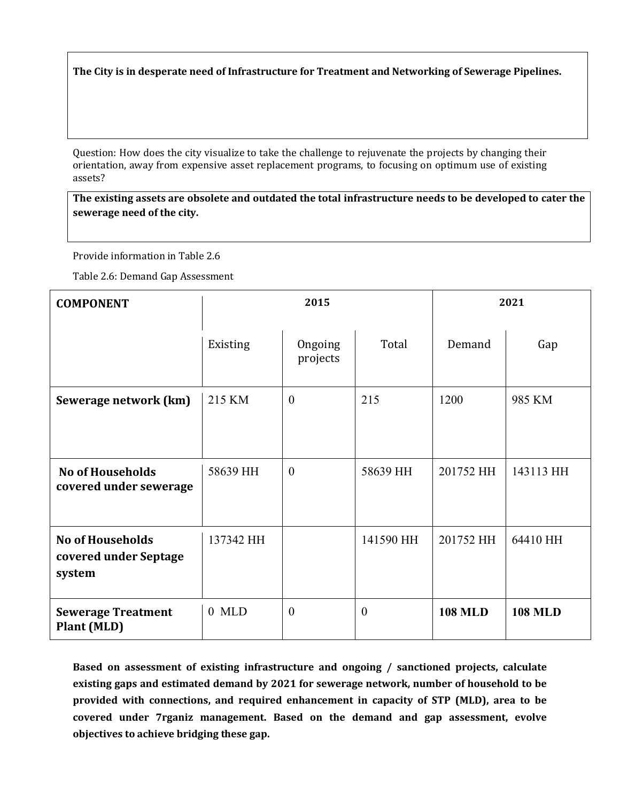**The City is in desperate need of Infrastructure for Treatment and Networking of Sewerage Pipelines.**

Question: How does the city visualize to take the challenge to rejuvenate the projects by changing their orientation, away from expensive asset replacement programs, to focusing on optimum use of existing assets?

**The existing assets are obsolete and outdated the total infrastructure needs to be developed to cater the sewerage need of the city.**

Provide information in Table 2.6

Table 2.6: Demand Gap Assessment

| <b>COMPONENT</b>                                           |           | 2015                |           | 2021           |                |  |
|------------------------------------------------------------|-----------|---------------------|-----------|----------------|----------------|--|
|                                                            | Existing  | Ongoing<br>projects | Total     | Demand         | Gap            |  |
| Sewerage network (km)                                      | 215 KM    | $\boldsymbol{0}$    | 215       | 1200           | 985 KM         |  |
| <b>No of Households</b><br>covered under sewerage          | 58639 HH  | $\theta$            | 58639 HH  | 201752 HH      | 143113 HH      |  |
| <b>No of Households</b><br>covered under Septage<br>system | 137342 HH |                     | 141590 HH | 201752 HH      | 64410 HH       |  |
| <b>Sewerage Treatment</b><br><b>Plant (MLD)</b>            | $0$ MLD   | $\theta$            | $\theta$  | <b>108 MLD</b> | <b>108 MLD</b> |  |

**Based on assessment of existing infrastructure and ongoing / sanctioned projects, calculate existing gaps and estimated demand by 2021 for sewerage network, number of household to be provided with connections, and required enhancement in capacity of STP (MLD), area to be covered under 7rganiz management. Based on the demand and gap assessment, evolve objectives to achieve bridging these gap.**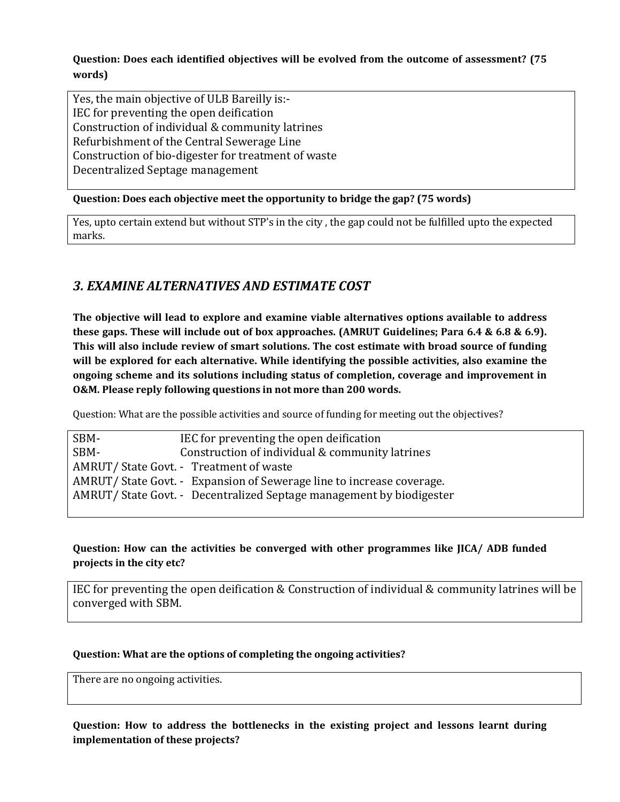**Question: Does each identified objectives will be evolved from the outcome of assessment? (75 words)**

Yes, the main objective of ULB Bareilly is:- IEC for preventing the open deification Construction of individual & community latrines Refurbishment of the Central Sewerage Line Construction of bio-digester for treatment of waste Decentralized Septage management

#### **Question: Does each objective meet the opportunity to bridge the gap? (75 words)**

Yes, upto certain extend but without STP's in the city , the gap could not be fulfilled upto the expected marks.

#### *3. EXAMINE ALTERNATIVES AND ESTIMATE COST*

**The objective will lead to explore and examine viable alternatives options available to address these gaps. These will include out of box approaches. (AMRUT Guidelines; Para 6.4 & 6.8 & 6.9). This will also include review of smart solutions. The cost estimate with broad source of funding will be explored for each alternative. While identifying the possible activities, also examine the ongoing scheme and its solutions including status of completion, coverage and improvement in O&M. Please reply following questions in not more than 200 words.**

Question: What are the possible activities and source of funding for meeting out the objectives?

| SBM- | IEC for preventing the open deification                              |
|------|----------------------------------------------------------------------|
| SBM- | Construction of individual & community latrines                      |
|      | AMRUT/ State Govt. - Treatment of waste                              |
|      | AMRUT/State Govt. - Expansion of Sewerage line to increase coverage. |
|      | AMRUT/State Govt. - Decentralized Septage management by biodigester  |
|      |                                                                      |

#### **Question: How can the activities be converged with other programmes like JICA/ ADB funded projects in the city etc?**

IEC for preventing the open deification & Construction of individual & community latrines will be converged with SBM.

#### **Question: What are the options of completing the ongoing activities?**

There are no ongoing activities.

#### **Question: How to address the bottlenecks in the existing project and lessons learnt during implementation of these projects?**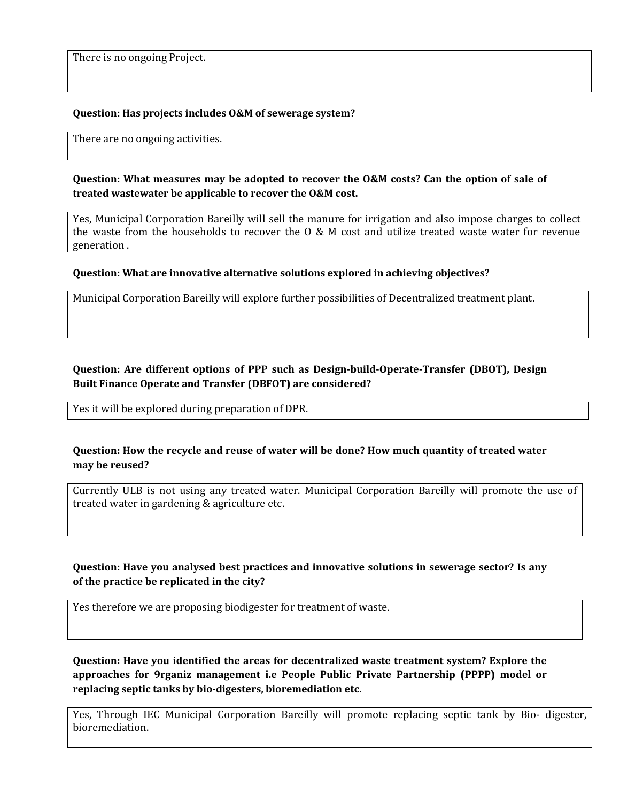There is no ongoing Project.

#### **Question: Has projects includes O&M of sewerage system?**

There are no ongoing activities.

**Question: What measures may be adopted to recover the O&M costs? Can the option of sale of treated wastewater be applicable to recover the O&M cost.**

Yes, Municipal Corporation Bareilly will sell the manure for irrigation and also impose charges to collect the waste from the households to recover the O & M cost and utilize treated waste water for revenue generation .

#### **Question: What are innovative alternative solutions explored in achieving objectives?**

Municipal Corporation Bareilly will explore further possibilities of Decentralized treatment plant.

#### **Question: Are different options of PPP such as Design-build-Operate-Transfer (DBOT), Design Built Finance Operate and Transfer (DBFOT) are considered?**

Yes it will be explored during preparation of DPR.

#### **Question: How the recycle and reuse of water will be done? How much quantity of treated water may be reused?**

Currently ULB is not using any treated water. Municipal Corporation Bareilly will promote the use of treated water in gardening & agriculture etc.

#### **Question: Have you analysed best practices and innovative solutions in sewerage sector? Is any of the practice be replicated in the city?**

Yes therefore we are proposing biodigester for treatment of waste.

**Question: Have you identified the areas for decentralized waste treatment system? Explore the approaches for 9rganiz management i.e People Public Private Partnership (PPPP) model or replacing septic tanks by bio-digesters, bioremediation etc.**

Yes, Through IEC Municipal Corporation Bareilly will promote replacing septic tank by Bio- digester, bioremediation.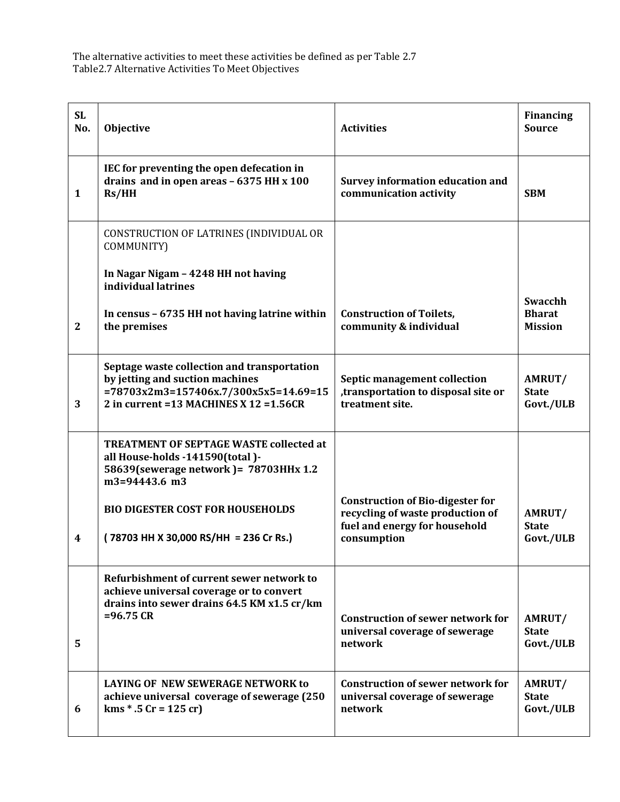The alternative activities to meet these activities be defined as per Table 2.7 Table2.7 Alternative Activities To Meet Objectives

| <b>SL</b><br>No. | Objective                                                                                                                                                                   | <b>Activities</b>                                                                                                           | <b>Financing</b><br><b>Source</b>          |
|------------------|-----------------------------------------------------------------------------------------------------------------------------------------------------------------------------|-----------------------------------------------------------------------------------------------------------------------------|--------------------------------------------|
| 1                | IEC for preventing the open defecation in<br>drains and in open areas - 6375 HH x 100<br>Rs/HH                                                                              | <b>Survey information education and</b><br>communication activity                                                           | <b>SBM</b>                                 |
|                  | CONSTRUCTION OF LATRINES (INDIVIDUAL OR<br>COMMUNITY)                                                                                                                       |                                                                                                                             |                                            |
|                  | In Nagar Nigam - 4248 HH not having<br>individual latrines                                                                                                                  |                                                                                                                             |                                            |
| $\boldsymbol{2}$ | In census - 6735 HH not having latrine within<br>the premises                                                                                                               | <b>Construction of Toilets,</b><br>community & individual                                                                   | Swacchh<br><b>Bharat</b><br><b>Mission</b> |
| 3                | Septage waste collection and transportation<br>by jetting and suction machines<br>$=78703x2m3=157406x.7/300x5x5=14.69=15$<br>2 in current = $13$ MACHINES X $12$ = $1.56CR$ | Septic management collection<br>, transportation to disposal site or<br>treatment site.                                     | AMRUT/<br><b>State</b><br>Govt./ULB        |
|                  | TREATMENT OF SEPTAGE WASTE collected at<br>all House-holds -141590(total)-<br>58639(sewerage network) = 78703HHx 1.2<br>m3=94443.6 m3                                       |                                                                                                                             |                                            |
| 4                | <b>BIO DIGESTER COST FOR HOUSEHOLDS</b><br>(78703 HH X 30,000 RS/HH = 236 Cr Rs.)                                                                                           | <b>Construction of Bio-digester for</b><br>recycling of waste production of<br>fuel and energy for household<br>consumption | AMRUT/<br><b>State</b><br>Govt./ULB        |
| 5                | Refurbishment of current sewer network to<br>achieve universal coverage or to convert<br>drains into sewer drains 64.5 KM x1.5 cr/km<br>$= 96.75 \text{ CR}$                | <b>Construction of sewer network for</b><br>universal coverage of sewerage<br>network                                       | AMRUT/<br><b>State</b><br>Govt./ULB        |
| 6                | LAYING OF NEW SEWERAGE NETWORK to<br>achieve universal coverage of sewerage (250<br>$km s * .5 Cr = 125 cr$                                                                 | <b>Construction of sewer network for</b><br>universal coverage of sewerage<br>network                                       | AMRUT/<br><b>State</b><br>Govt./ULB        |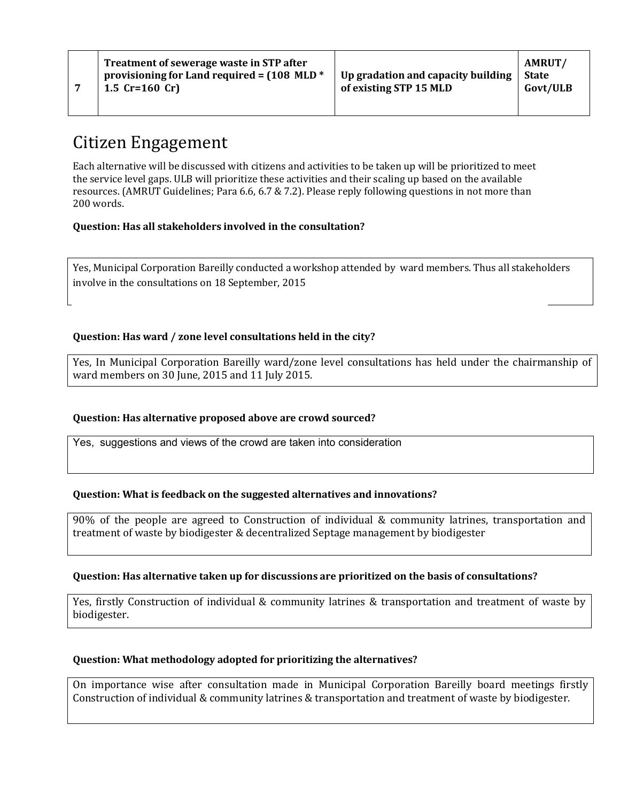### Citizen Engagement

**7**

Each alternative will be discussed with citizens and activities to be taken up will be prioritized to meet the service level gaps. ULB will prioritize these activities and their scaling up based on the available resources. (AMRUT Guidelines; Para 6.6, 6.7 & 7.2). Please reply following questions in not more than 200 words.

#### **Question: Has all stakeholders involved in the consultation?**

Yes, Municipal Corporation Bareilly conducted a workshop attended by ward members. Thus all stakeholders involve in the consultations on 18 September, 2015

#### **Question: Has ward / zone level consultations held in the city?**

Yes, In Municipal Corporation Bareilly ward/zone level consultations has held under the chairmanship of ward members on 30 June, 2015 and 11 July 2015.

#### **Question: Has alternative proposed above are crowd sourced?**

Yes, suggestions and views of the crowd are taken into consideration

#### **Question: What is feedback on the suggested alternatives and innovations?**

90% of the people are agreed to Construction of individual & community latrines, transportation and treatment of waste by biodigester & decentralized Septage management by biodigester

#### **Question: Has alternative taken up for discussions are prioritized on the basis of consultations?**

Yes, firstly Construction of individual & community latrines & transportation and treatment of waste by biodigester.

#### **Question: What methodology adopted for prioritizing the alternatives?**

On importance wise after consultation made in Municipal Corporation Bareilly board meetings firstly Construction of individual & community latrines & transportation and treatment of waste by biodigester.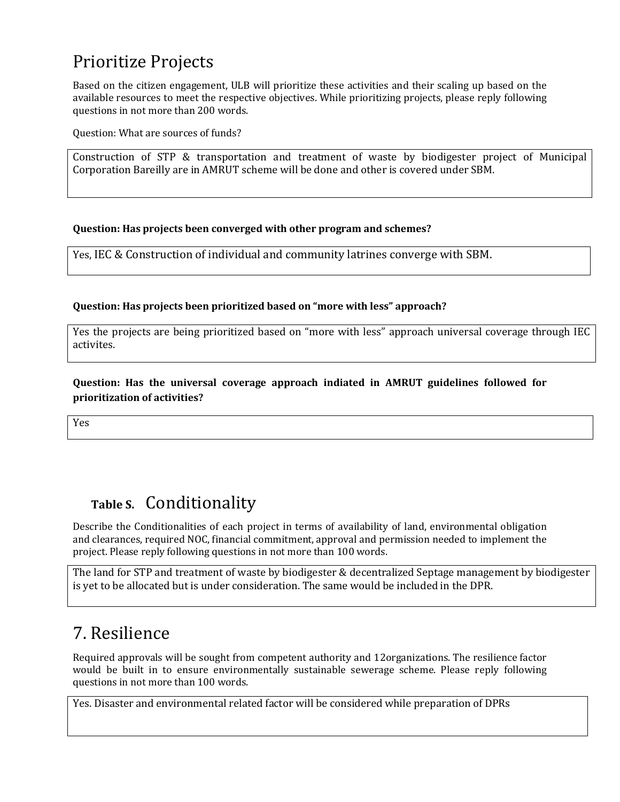## Prioritize Projects

Based on the citizen engagement, ULB will prioritize these activities and their scaling up based on the available resources to meet the respective objectives. While prioritizing projects, please reply following questions in not more than 200 words.

Question: What are sources of funds?

Construction of STP & transportation and treatment of waste by biodigester project of Municipal Corporation Bareilly are in AMRUT scheme will be done and other is covered under SBM.

#### **Question: Has projects been converged with other program and schemes?**

Yes, IEC & Construction of individual and community latrines converge with SBM.

#### **Question: Has projects been prioritized based on "more with less" approach?**

Yes the projects are being prioritized based on "more with less" approach universal coverage through IEC activites.

**Question: Has the universal coverage approach indiated in AMRUT guidelines followed for prioritization of activities?**

Yes

### **Table S.** Conditionality

Describe the Conditionalities of each project in terms of availability of land, environmental obligation and clearances, required NOC, financial commitment, approval and permission needed to implement the project. Please reply following questions in not more than 100 words.

The land for STP and treatment of waste by biodigester & decentralized Septage management by biodigester is yet to be allocated but is under consideration. The same would be included in the DPR.

### 7. Resilience

Required approvals will be sought from competent authority and 12organizations. The resilience factor would be built in to ensure environmentally sustainable sewerage scheme. Please reply following questions in not more than 100 words.

Yes. Disaster and environmental related factor will be considered while preparation of DPRs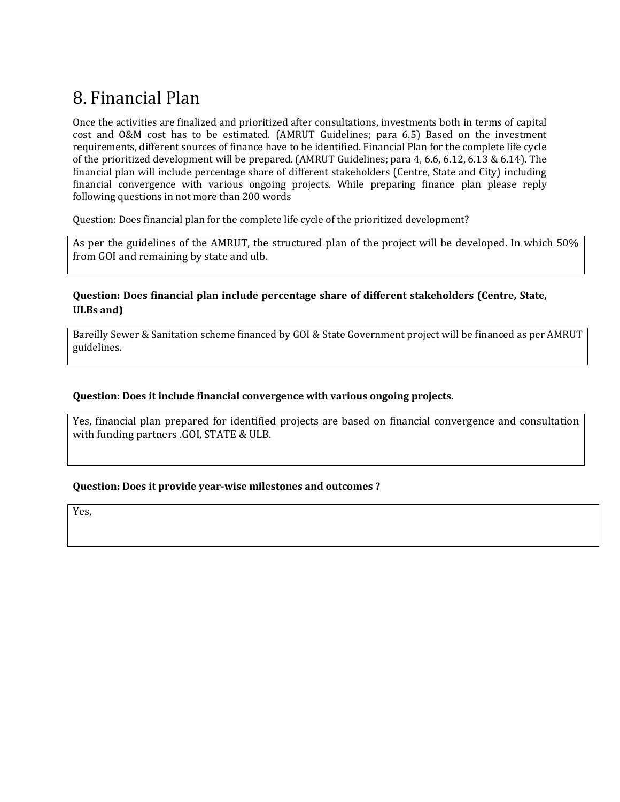## 8. Financial Plan

Once the activities are finalized and prioritized after consultations, investments both in terms of capital cost and O&M cost has to be estimated. (AMRUT Guidelines; para 6.5) Based on the investment requirements, different sources of finance have to be identified. Financial Plan for the complete life cycle of the prioritized development will be prepared. (AMRUT Guidelines; para 4, 6.6, 6.12, 6.13 & 6.14). The financial plan will include percentage share of different stakeholders (Centre, State and City) including financial convergence with various ongoing projects. While preparing finance plan please reply following questions in not more than 200 words

Question: Does financial plan for the complete life cycle of the prioritized development?

As per the guidelines of the AMRUT, the structured plan of the project will be developed. In which 50% from GOI and remaining by state and ulb.

#### **Question: Does financial plan include percentage share of different stakeholders (Centre, State, ULBs and)**

Bareilly Sewer & Sanitation scheme financed by GOI & State Government project will be financed as per AMRUT guidelines.

#### **Question: Does it include financial convergence with various ongoing projects.**

Yes, financial plan prepared for identified projects are based on financial convergence and consultation with funding partners .GOI, STATE & ULB.

#### **Question: Does it provide year-wise milestones and outcomes ?**

Yes,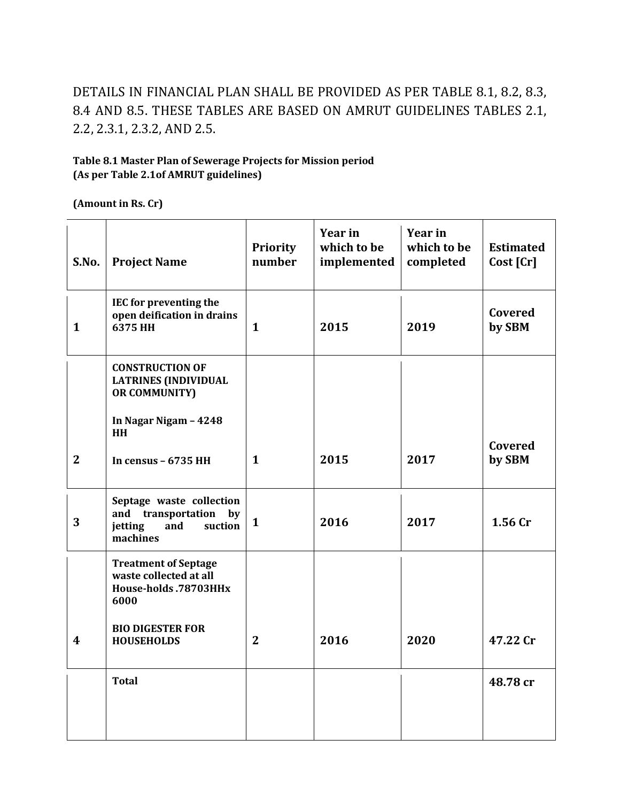### DETAILS IN FINANCIAL PLAN SHALL BE PROVIDED AS PER TABLE 8.1, 8.2, 8.3, 8.4 AND 8.5. THESE TABLES ARE BASED ON AMRUT GUIDELINES TABLES 2.1, 2.2, 2.3.1, 2.3.2, AND 2.5.

#### **Table 8.1 Master Plan of Sewerage Projects for Mission period (As per Table 2.1of AMRUT guidelines)**

**(Amount in Rs. Cr)**

| S.No.            | <b>Project Name</b>                                                                              | <b>Priority</b><br>number | Year in<br>which to be<br>implemented | Year in<br>which to be<br>completed | <b>Estimated</b><br>Cost [Cr] |
|------------------|--------------------------------------------------------------------------------------------------|---------------------------|---------------------------------------|-------------------------------------|-------------------------------|
| $\mathbf{1}$     | IEC for preventing the<br>open deification in drains<br>6375 HH                                  | $\mathbf{1}$              | 2015                                  | 2019                                | Covered<br>by SBM             |
|                  | <b>CONSTRUCTION OF</b><br><b>LATRINES (INDIVIDUAL</b><br><b>OR COMMUNITY)</b>                    |                           |                                       |                                     |                               |
|                  | In Nagar Nigam - 4248<br>HH                                                                      |                           |                                       |                                     |                               |
| $\overline{2}$   | In census - 6735 HH                                                                              | $\mathbf{1}$              | 2015                                  | 2017                                | Covered<br>by SBM             |
| 3                | Septage waste collection<br>and<br>transportation<br>by<br>jetting<br>and<br>suction<br>machines | $\mathbf{1}$              | 2016                                  | 2017                                | 1.56 Cr                       |
|                  | <b>Treatment of Septage</b><br>waste collected at all<br>House-holds .78703HHx<br>6000           |                           |                                       |                                     |                               |
| $\boldsymbol{4}$ | <b>BIO DIGESTER FOR</b><br><b>HOUSEHOLDS</b>                                                     | $\mathbf{2}$              | 2016                                  | 2020                                | 47.22 Cr                      |
|                  | <b>Total</b>                                                                                     |                           |                                       |                                     | 48.78 cr                      |
|                  |                                                                                                  |                           |                                       |                                     |                               |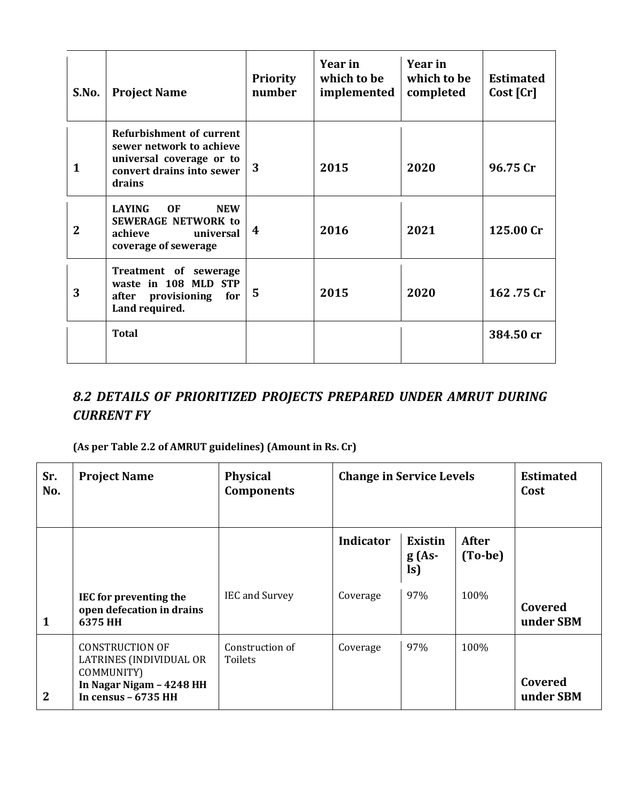| S.No.          | <b>Project Name</b>                                                                                                            | <b>Priority</b><br>number | Year in<br>which to be<br>implemented | Year in<br>which to be<br>completed | <b>Estimated</b><br>Cost [Cr] |
|----------------|--------------------------------------------------------------------------------------------------------------------------------|---------------------------|---------------------------------------|-------------------------------------|-------------------------------|
| 1              | <b>Refurbishment of current</b><br>sewer network to achieve<br>universal coverage or to<br>convert drains into sewer<br>drains | 3                         | 2015                                  | 2020                                | 96.75 Cr                      |
| $\overline{2}$ | <b>LAYING</b><br>0F<br><b>NEW</b><br><b>SEWERAGE NETWORK to</b><br>universal<br>achieve<br>coverage of sewerage                | 4                         | 2016                                  | 2021                                | 125.00 Cr                     |
| 3              | Treatment of sewerage<br>waste in 108 MLD STP<br>provisioning<br>for<br>after<br>Land required.                                | 5                         | 2015                                  | 2020                                | 162.75 Cr                     |
|                | <b>Total</b>                                                                                                                   |                           |                                       |                                     | 384.50 cr                     |

### *8.2 DETAILS OF PRIORITIZED PROJECTS PREPARED UNDER AMRUT DURING CURRENT FY*

#### **(As per Table 2.2 of AMRUT guidelines) (Amount in Rs. Cr)**

| Sr.<br>No.     | <b>Project Name</b>                                                                                                 | <b>Physical</b><br><b>Components</b> | <b>Change in Service Levels</b> |                           |                  | <b>Estimated</b><br>Cost |
|----------------|---------------------------------------------------------------------------------------------------------------------|--------------------------------------|---------------------------------|---------------------------|------------------|--------------------------|
|                |                                                                                                                     |                                      | Indicator                       | Existin<br>$g(As-$<br>ls) | After<br>(To-be) |                          |
| 1              | IEC for preventing the<br>open defecation in drains<br>6375 HH                                                      | <b>IEC</b> and Survey                | Coverage                        | 97%                       | 100%             | Covered<br>under SBM     |
| $\overline{2}$ | <b>CONSTRUCTION OF</b><br>LATRINES (INDIVIDUAL OR<br>COMMUNITY)<br>In Nagar Nigam - 4248 HH<br>In census $-6735$ HH | Construction of<br>Toilets           | Coverage                        | 97%                       | 100%             | Covered<br>under SBM     |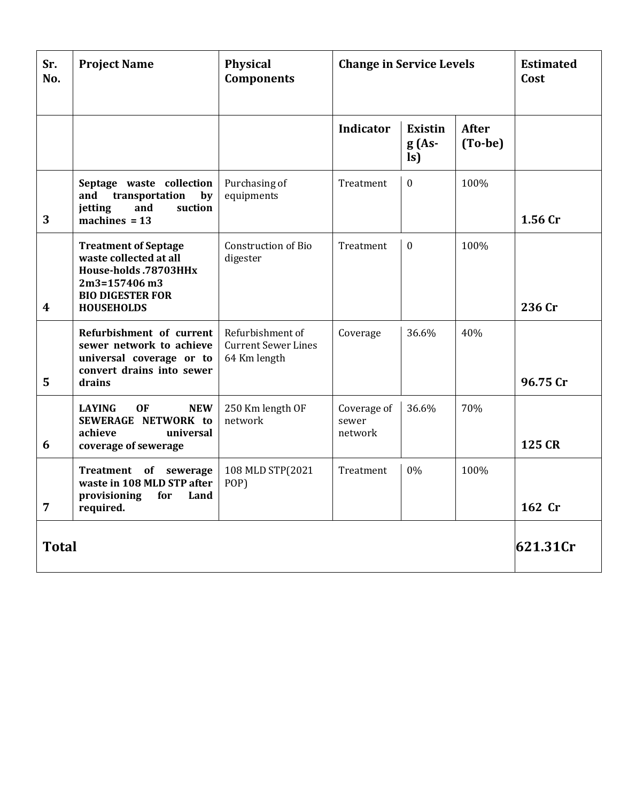| Sr.<br>No.       | <b>Project Name</b>                                                                                                                             | <b>Physical</b><br><b>Components</b>                           | <b>Change in Service Levels</b> |                                            |                         | <b>Estimated</b><br>Cost |
|------------------|-------------------------------------------------------------------------------------------------------------------------------------------------|----------------------------------------------------------------|---------------------------------|--------------------------------------------|-------------------------|--------------------------|
|                  |                                                                                                                                                 |                                                                | <b>Indicator</b>                | <b>Existin</b><br>$g(As-$<br>$\mathbf{ls}$ | <b>After</b><br>(To-be) |                          |
| 3                | Septage waste collection<br>transportation<br>by<br>and<br>suction<br>jetting<br>and<br>machines $= 13$                                         | Purchasing of<br>equipments                                    | Treatment                       | $\mathbf{0}$                               | 100%                    | 1.56 Cr                  |
| $\boldsymbol{4}$ | <b>Treatment of Septage</b><br>waste collected at all<br>House-holds .78703HHx<br>2m3=157406 m3<br><b>BIO DIGESTER FOR</b><br><b>HOUSEHOLDS</b> | <b>Construction of Bio</b><br>digester                         | Treatment                       | $\Omega$                                   | 100%                    | 236 Cr                   |
| 5                | Refurbishment of current<br>sewer network to achieve<br>universal coverage or to<br>convert drains into sewer<br>drains                         | Refurbishment of<br><b>Current Sewer Lines</b><br>64 Km length | Coverage                        | 36.6%                                      | 40%                     | 96.75 Cr                 |
| 6                | <b>LAYING</b><br><b>OF</b><br><b>NEW</b><br>SEWERAGE NETWORK to<br>achieve<br>universal<br>coverage of sewerage                                 | 250 Km length OF<br>network                                    | Coverage of<br>sewer<br>network | 36.6%                                      | 70%                     | 125 CR                   |
| $\overline{7}$   | Treatment of sewerage<br>waste in 108 MLD STP after<br>provisioning<br>for<br>Land<br>required.                                                 | 108 MLD STP(2021<br>POP)                                       | Treatment                       | 0%                                         | 100%                    | 162 Cr                   |
| <b>Total</b>     |                                                                                                                                                 |                                                                |                                 |                                            |                         | 621.31Cr                 |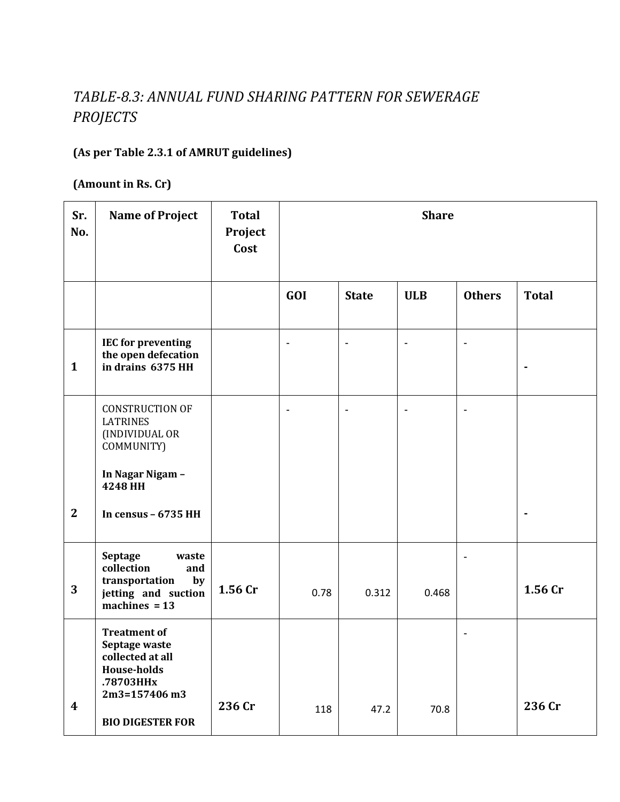### *TABLE-8.3: ANNUAL FUND SHARING PATTERN FOR SEWERAGE PROJECTS*

### **(As per Table 2.3.1 of AMRUT guidelines)**

**(Amount in Rs. Cr)**

| Sr.<br>No.       | <b>Name of Project</b>                                                                                                                  | <b>Total</b><br>Project<br>Cost |                | <b>Share</b>             |                          |                          |              |  |  |  |
|------------------|-----------------------------------------------------------------------------------------------------------------------------------------|---------------------------------|----------------|--------------------------|--------------------------|--------------------------|--------------|--|--|--|
|                  |                                                                                                                                         |                                 | GOI            | <b>State</b>             | <b>ULB</b>               | <b>Others</b>            | <b>Total</b> |  |  |  |
| $\mathbf{1}$     | <b>IEC for preventing</b><br>the open defecation<br>in drains 6375 HH                                                                   |                                 | $\overline{a}$ | $\blacksquare$           | $\overline{\phantom{a}}$ | $\overline{\phantom{a}}$ | ٠            |  |  |  |
|                  | <b>CONSTRUCTION OF</b><br><b>LATRINES</b><br>(INDIVIDUAL OR<br>COMMUNITY)<br>In Nagar Nigam -                                           |                                 | $\overline{a}$ | $\overline{\phantom{a}}$ |                          | $\overline{\phantom{a}}$ |              |  |  |  |
| $\mathbf{2}$     | 4248 HH<br>In census - 6735 HH                                                                                                          |                                 |                |                          |                          |                          | ٠            |  |  |  |
| 3                | <b>Septage</b><br>waste<br>collection<br>and<br>transportation<br>by<br>jetting and suction<br>machines $= 13$                          | 1.56 Cr                         | 0.78           | 0.312                    | 0.468                    | $\overline{\phantom{a}}$ | 1.56 Cr      |  |  |  |
| $\boldsymbol{4}$ | <b>Treatment of</b><br>Septage waste<br>collected at all<br><b>House-holds</b><br>.78703HHx<br>2m3=157406 m3<br><b>BIO DIGESTER FOR</b> | 236 Cr                          | 118            | 47.2                     | 70.8                     | $\overline{\phantom{0}}$ | 236 Cr       |  |  |  |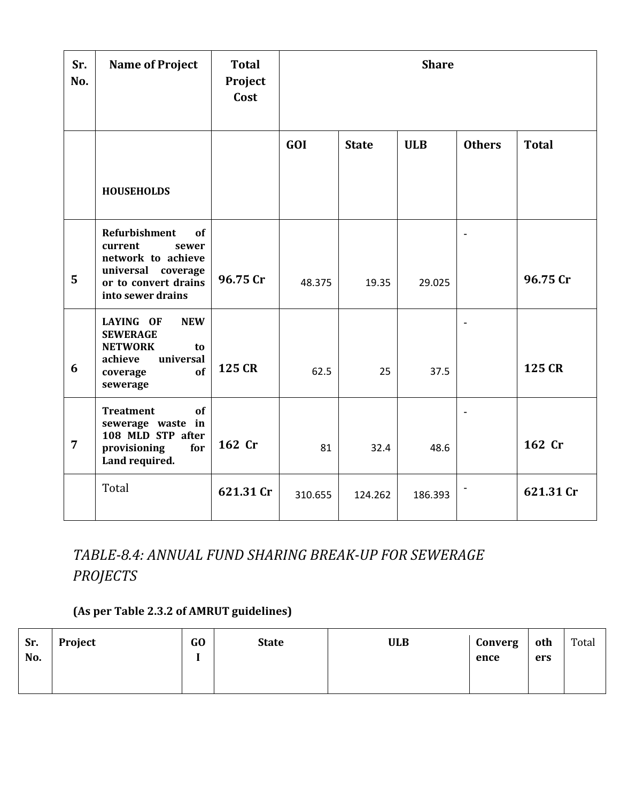| Sr.<br>No.     | <b>Name of Project</b>                                                                                                                     | <b>Total</b><br>Project<br>Cost | <b>Share</b> |              |            |                          |              |  |  |  |
|----------------|--------------------------------------------------------------------------------------------------------------------------------------------|---------------------------------|--------------|--------------|------------|--------------------------|--------------|--|--|--|
|                |                                                                                                                                            |                                 | GOI          | <b>State</b> | <b>ULB</b> | <b>Others</b>            | <b>Total</b> |  |  |  |
|                | <b>HOUSEHOLDS</b>                                                                                                                          |                                 |              |              |            |                          |              |  |  |  |
| 5              | <b>Refurbishment</b><br>of<br>current<br>sewer<br>network to achieve<br>universal<br>coverage<br>or to convert drains<br>into sewer drains | 96.75 Cr                        | 48.375       | 19.35        | 29.025     | $\blacksquare$           | 96.75 Cr     |  |  |  |
| 6              | <b>NEW</b><br>LAYING OF<br><b>SEWERAGE</b><br><b>NETWORK</b><br>to<br>universal<br>achieve<br>of<br>coverage<br>sewerage                   | 125 CR                          | 62.5         | 25           | 37.5       | $\blacksquare$           | 125 CR       |  |  |  |
| $\overline{7}$ | of<br><b>Treatment</b><br>sewerage waste in<br>108 MLD STP after<br>provisioning<br>for<br>Land required.                                  | 162 Cr                          | 81           | 32.4         | 48.6       | $\overline{\phantom{a}}$ | 162 Cr       |  |  |  |
|                | Total                                                                                                                                      | 621.31 Cr                       | 310.655      | 124.262      | 186.393    |                          | 621.31 Cr    |  |  |  |

### *TABLE-8.4: ANNUAL FUND SHARING BREAK-UP FOR SEWERAGE PROJECTS*

#### **(As per Table 2.3.2 of AMRUT guidelines)**

| Sr. | Project | GO | <b>State</b> | <b>ULB</b> | Converg | oth | Total |
|-----|---------|----|--------------|------------|---------|-----|-------|
| No. |         |    |              |            | ence    | ers |       |
|     |         |    |              |            |         |     |       |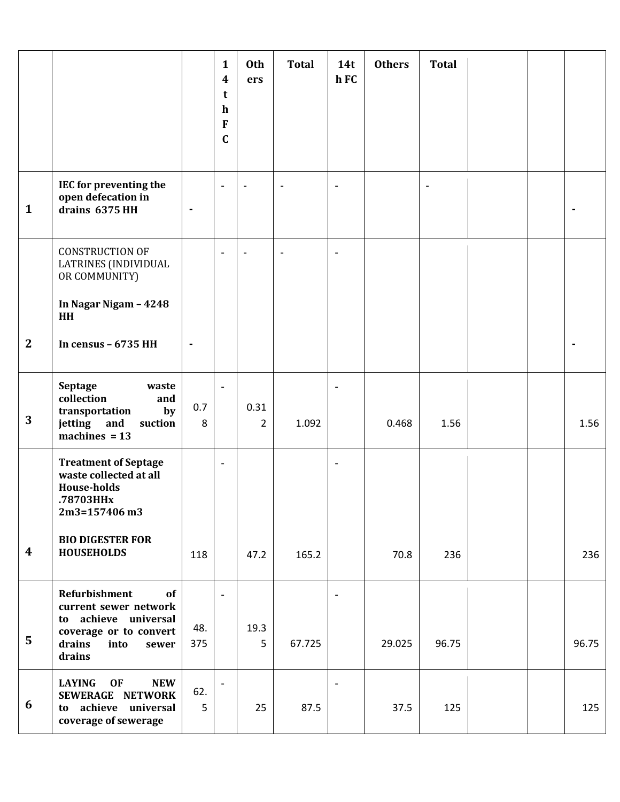|                  |                                                                                                                                     |            | $\mathbf{1}$<br>$\boldsymbol{4}$<br>t<br>$\mathbf h$<br>F<br>$\mathbf C$ | Oth<br>ers             | <b>Total</b>   | 14t<br>h FC              | <b>Others</b> | <b>Total</b> |  |       |
|------------------|-------------------------------------------------------------------------------------------------------------------------------------|------------|--------------------------------------------------------------------------|------------------------|----------------|--------------------------|---------------|--------------|--|-------|
| $\mathbf{1}$     | IEC for preventing the<br>open defecation in<br>drains 6375 HH                                                                      | ۰          | $\overline{a}$                                                           |                        | $\blacksquare$ | $\overline{\phantom{a}}$ |               |              |  |       |
| $\mathbf{2}$     | <b>CONSTRUCTION OF</b><br><b>LATRINES (INDIVIDUAL</b><br>OR COMMUNITY)<br>In Nagar Nigam - 4248<br>HH<br>In census - 6735 HH        | ٠          |                                                                          |                        |                |                          |               |              |  |       |
| 3                | Septage<br>waste<br>collection<br>and<br>transportation<br>by<br>jetting<br>and<br>suction<br>machines $= 13$                       | 0.7<br>8   | $\overline{\phantom{a}}$                                                 | 0.31<br>$\overline{2}$ | 1.092          |                          | 0.468         | 1.56         |  | 1.56  |
|                  | <b>Treatment of Septage</b><br>waste collected at all<br><b>House-holds</b><br>.78703HHx<br>$2m3 = 157406 m3$                       |            | $\overline{\phantom{a}}$                                                 |                        |                | $\overline{\phantom{a}}$ |               |              |  |       |
| $\boldsymbol{4}$ | <b>BIO DIGESTER FOR</b><br><b>HOUSEHOLDS</b>                                                                                        | 118        |                                                                          | 47.2                   | 165.2          |                          | 70.8          | 236          |  | 236   |
| 5                | Refurbishment<br>of<br>current sewer network<br>to achieve universal<br>coverage or to convert<br>drains<br>into<br>sewer<br>drains | 48.<br>375 | $\overline{\phantom{a}}$                                                 | 19.3<br>5              | 67.725         | $\overline{\phantom{a}}$ | 29.025        | 96.75        |  | 96.75 |
| 6                | <b>OF</b><br><b>LAYING</b><br><b>NEW</b><br>SEWERAGE NETWORK<br>to achieve universal<br>coverage of sewerage                        | 62.<br>5   |                                                                          | 25                     | 87.5           |                          | 37.5          | 125          |  | 125   |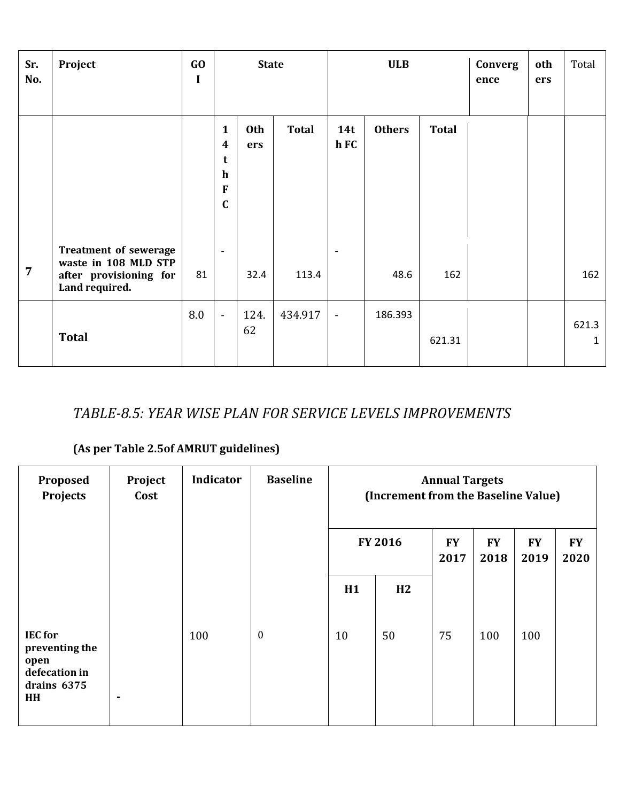| Sr.<br>No.     | Project                                                                                          | GO<br>I |                                                                                | <b>State</b>      |              | <b>ULB</b>               |               | Converg<br>ence | oth<br>ers | Total |                       |
|----------------|--------------------------------------------------------------------------------------------------|---------|--------------------------------------------------------------------------------|-------------------|--------------|--------------------------|---------------|-----------------|------------|-------|-----------------------|
|                |                                                                                                  |         | $\mathbf{1}$<br>$\boldsymbol{4}$<br>t<br>$\mathbf h$<br>$\bf F$<br>$\mathbf C$ | <b>Oth</b><br>ers | <b>Total</b> | 14t<br>h FC              | <b>Others</b> | <b>Total</b>    |            |       |                       |
| $\overline{7}$ | <b>Treatment of sewerage</b><br>waste in 108 MLD STP<br>after provisioning for<br>Land required. | 81      | $\overline{\phantom{a}}$                                                       | 32.4              | 113.4        | $\overline{\phantom{a}}$ | 48.6          | 162             |            |       | 162                   |
|                | <b>Total</b>                                                                                     | 8.0     | $\blacksquare$                                                                 | 124.<br>62        | 434.917      | $\overline{\phantom{a}}$ | 186.393       | 621.31          |            |       | 621.3<br>$\mathbf{1}$ |

### *TABLE-8.5: YEAR WISE PLAN FOR SERVICE LEVELS IMPROVEMENTS*

### **(As per Table 2.5of AMRUT guidelines)**

| Proposed<br><b>Projects</b>                                                    | Project<br>Cost | Indicator | <b>Baseline</b>  |    |                |                   | <b>Annual Targets</b><br>(Increment from the Baseline Value) |                   |                   |  |  |  |
|--------------------------------------------------------------------------------|-----------------|-----------|------------------|----|----------------|-------------------|--------------------------------------------------------------|-------------------|-------------------|--|--|--|
|                                                                                |                 |           |                  |    | <b>FY 2016</b> | <b>FY</b><br>2017 | <b>FY</b><br>2018                                            | <b>FY</b><br>2019 | <b>FY</b><br>2020 |  |  |  |
|                                                                                |                 |           |                  | H1 | H2             |                   |                                                              |                   |                   |  |  |  |
| <b>IEC</b> for<br>preventing the<br>open<br>defecation in<br>drains 6375<br>HH | ۰               | 100       | $\boldsymbol{0}$ | 10 | 50             | 75                | 100                                                          | 100               |                   |  |  |  |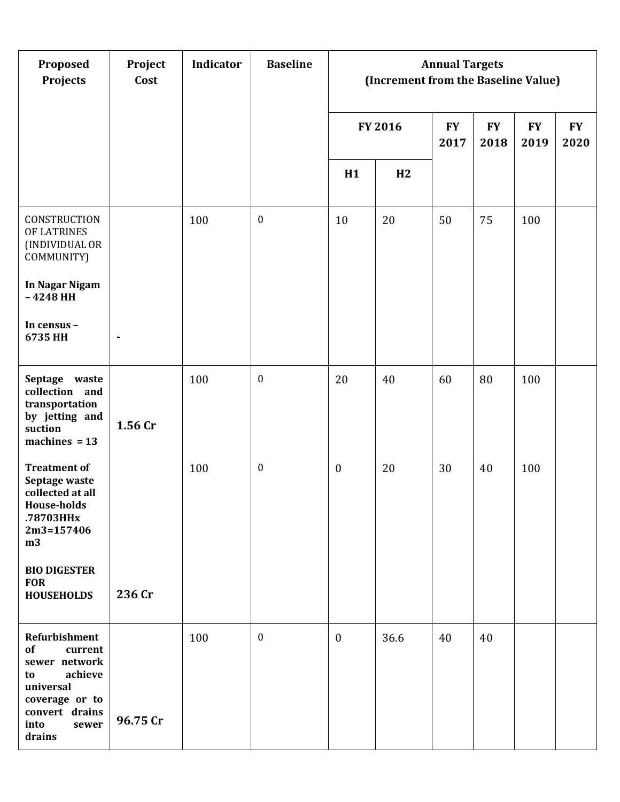| Proposed<br>Projects                                                                                                                                | Project<br>Cost | Indicator | <b>Baseline</b>  |                  |         | <b>Annual Targets</b><br>(Increment from the Baseline Value) |                   |                   |                   |  |  |
|-----------------------------------------------------------------------------------------------------------------------------------------------------|-----------------|-----------|------------------|------------------|---------|--------------------------------------------------------------|-------------------|-------------------|-------------------|--|--|
|                                                                                                                                                     |                 |           |                  |                  | FY 2016 | <b>FY</b><br>2017                                            | <b>FY</b><br>2018 | <b>FY</b><br>2019 | <b>FY</b><br>2020 |  |  |
|                                                                                                                                                     |                 |           |                  | H1               | H2      |                                                              |                   |                   |                   |  |  |
| CONSTRUCTION<br>OF LATRINES<br>(INDIVIDUAL OR<br>COMMUNITY)                                                                                         |                 | 100       | $\boldsymbol{0}$ | 10               | 20      | 50                                                           | 75                | 100               |                   |  |  |
| In Nagar Nigam<br>$-4248$ HH                                                                                                                        |                 |           |                  |                  |         |                                                              |                   |                   |                   |  |  |
| In census -<br>6735 HH                                                                                                                              | $\blacksquare$  |           |                  |                  |         |                                                              |                   |                   |                   |  |  |
| Septage waste<br>collection and<br>transportation<br>by jetting and<br>suction<br>machines $= 13$                                                   | 1.56 Cr         | 100       | $\boldsymbol{0}$ | 20               | 40      | 60                                                           | 80                | 100               |                   |  |  |
| <b>Treatment of</b><br>Septage waste<br>collected at all<br><b>House-holds</b><br>.78703HHx<br>2m3=157406<br>m3                                     |                 | 100       | $\boldsymbol{0}$ | $\boldsymbol{0}$ | 20      | 30                                                           | 40                | 100               |                   |  |  |
| <b>BIO DIGESTER</b><br><b>FOR</b><br><b>HOUSEHOLDS</b>                                                                                              | 236 Cr          |           |                  |                  |         |                                                              |                   |                   |                   |  |  |
| <b>Refurbishment</b><br>of<br>current<br>sewer network<br>achieve<br>to<br>universal<br>coverage or to<br>convert drains<br>into<br>sewer<br>drains | 96.75 Cr        | 100       | $\boldsymbol{0}$ | $\boldsymbol{0}$ | 36.6    | 40                                                           | 40                |                   |                   |  |  |